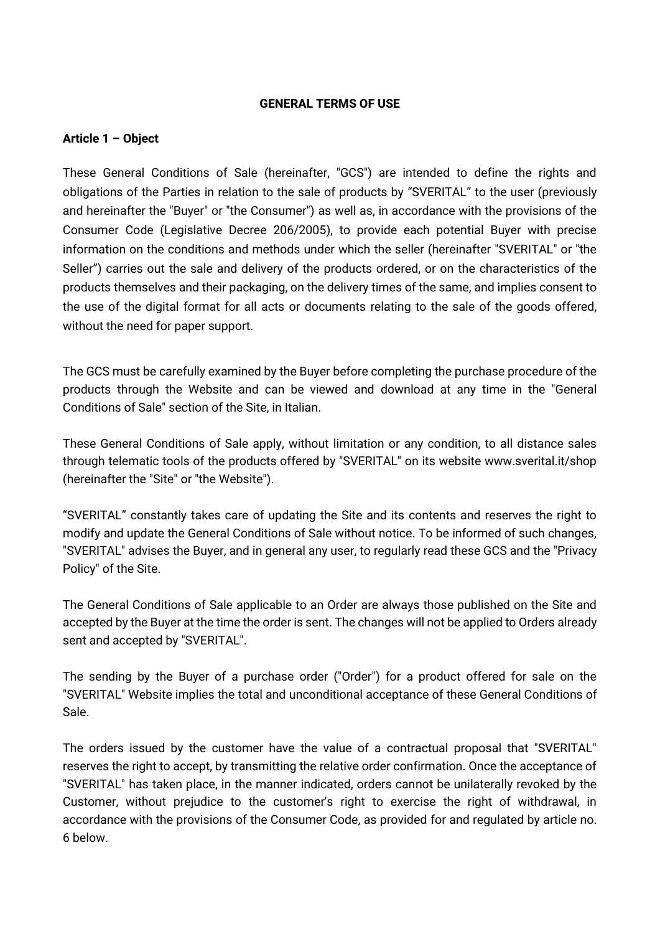#### **GENERAL TERMS OF USE**

#### **Article 1 – Object**

These General Conditions of Sale (hereinafter, "GCS") are intended to define the rights and obligations of the Parties in relation to the sale of products by "SVERITAL" to the user (previously and hereinafter the "Buyer" or "the Consumer") as well as, in accordance with the provisions of the Consumer Code (Legislative Decree 206/2005), to provide each potential Buyer with precise information on the conditions and methods under which the seller (hereinafter "SVERITAL" or "the Seller") carries out the sale and delivery of the products ordered, or on the characteristics of the products themselves and their packaging, on the delivery times of the same, and implies consent to the use of the digital format for all acts or documents relating to the sale of the goods offered, without the need for paper support.

The GCS must be carefully examined by the Buyer before completing the purchase procedure of the products through the Website and can be viewed and download at any time in the "General Conditions of Sale" section of the Site, in Italian.

These General Conditions of Sale apply, without limitation or any condition, to all distance sales through telematic tools of the products offered by "SVERITAL" on its website www.sverital.it/shop (hereinafter the "Site" or "the Website").

"SVERITAL" constantly takes care of updating the Site and its contents and reserves the right to modify and update the General Conditions of Sale without notice. To be informed of such changes, "SVERITAL" advises the Buyer, and in general any user, to regularly read these GCS and the "Privacy Policy" of the Site.

The General Conditions of Sale applicable to an Order are always those published on the Site and accepted by the Buyer at the time the order is sent. The changes will not be applied to Orders already sent and accepted by "SVERITAL".

The sending by the Buyer of a purchase order ("Order") for a product offered for sale on the "SVERITAL" Website implies the total and unconditional acceptance of these General Conditions of Sale.

The orders issued by the customer have the value of a contractual proposal that "SVERITAL" reserves the right to accept, by transmitting the relative order confirmation. Once the acceptance of "SVERITAL" has taken place, in the manner indicated, orders cannot be unilaterally revoked by the Customer, without prejudice to the customer's right to exercise the right of withdrawal, in accordance with the provisions of the Consumer Code, as provided for and regulated by article no. 6 below.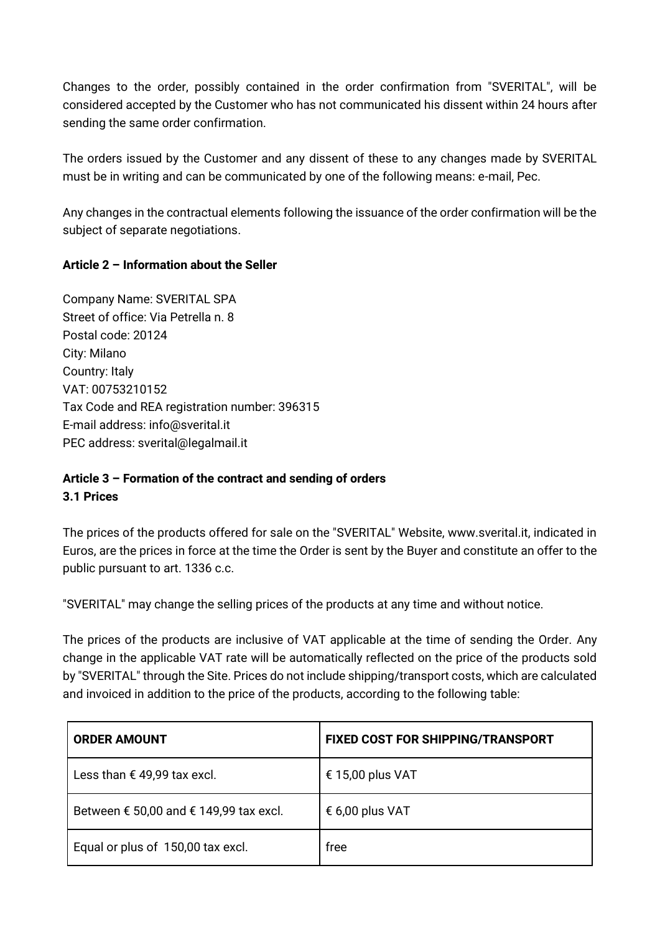Changes to the order, possibly contained in the order confirmation from "SVERITAL", will be considered accepted by the Customer who has not communicated his dissent within 24 hours after sending the same order confirmation.

The orders issued by the Customer and any dissent of these to any changes made by SVERITAL must be in writing and can be communicated by one of the following means: e-mail, Pec.

Any changes in the contractual elements following the issuance of the order confirmation will be the subject of separate negotiations.

# **Article 2 – Information about the Seller**

Company Name: SVERITAL SPA Street of office: Via Petrella n. 8 Postal code: 20124 City: Milano Country: Italy VAT: 00753210152 Tax Code and REA registration number: 396315 E-mail address: [info@sverital.it](mailto:info@sverital.it) PEC address: [sverital@legalmail.it](mailto:sverital@legalmail.it)

# **Article 3 – Formation of the contract and sending of orders 3.1 Prices**

The prices of the products offered for sale on the "SVERITAL" Website, www.sverital.it, indicated in Euros, are the prices in force at the time the Order is sent by the Buyer and constitute an offer to the public pursuant to art. 1336 c.c.

"SVERITAL" may change the selling prices of the products at any time and without notice.

The prices of the products are inclusive of VAT applicable at the time of sending the Order. Any change in the applicable VAT rate will be automatically reflected on the price of the products sold by "SVERITAL" through the Site. Prices do not include shipping/transport costs, which are calculated and invoiced in addition to the price of the products, according to the following table:

| <b>ORDER AMOUNT</b>                                      | <b>FIXED COST FOR SHIPPING/TRANSPORT</b> |
|----------------------------------------------------------|------------------------------------------|
| Less than € 49,99 tax excl.                              | € 15,00 plus VAT                         |
| Between $\epsilon$ 50,00 and $\epsilon$ 149,99 tax excl. | € 6,00 plus VAT                          |
| Equal or plus of 150,00 tax excl.                        | free                                     |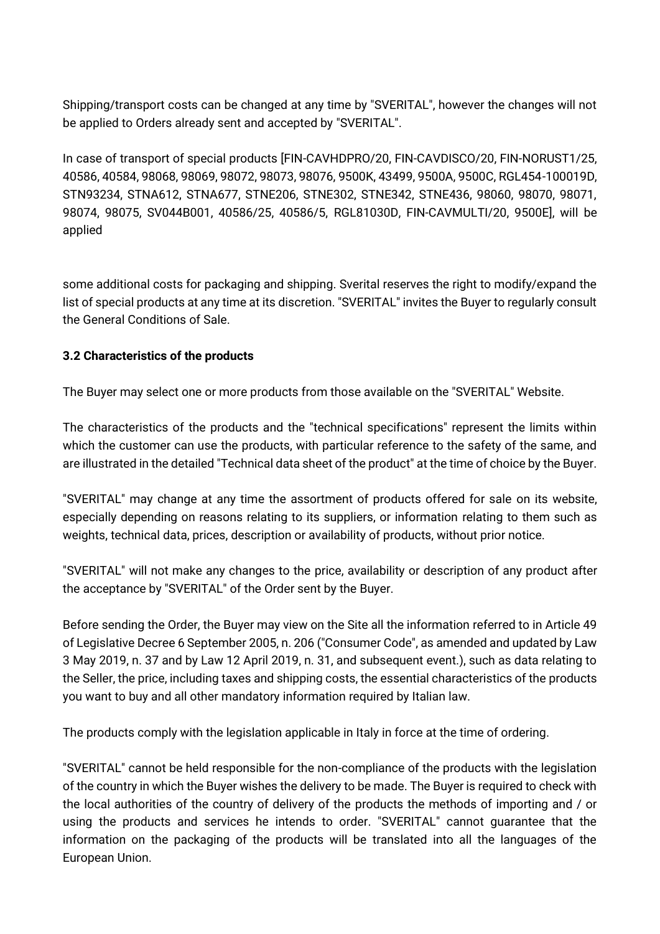Shipping/transport costs can be changed at any time by "SVERITAL", however the changes will not be applied to Orders already sent and accepted by "SVERITAL".

In case of transport of special products [FIN-CAVHDPRO/20, FIN-CAVDISCO/20, FIN-NORUST1/25, 40586, 40584, 98068, 98069, 98072, 98073, 98076, 9500K, 43499, 9500A, 9500C, RGL454-100019D, STN93234, STNA612, STNA677, STNE206, STNE302, STNE342, STNE436, 98060, 98070, 98071, 98074, 98075, SV044B001, 40586/25, 40586/5, RGL81030D, FIN-CAVMULTI/20, 9500E], will be applied

some additional costs for packaging and shipping. Sverital reserves the right to modify/expand the list of special products at any time at its discretion. "SVERITAL" invites the Buyer to regularly consult the General Conditions of Sale.

# **3.2 Characteristics of the products**

The Buyer may select one or more products from those available on the "SVERITAL" Website.

The characteristics of the products and the "technical specifications" represent the limits within which the customer can use the products, with particular reference to the safety of the same, and are illustrated in the detailed "Technical data sheet of the product" at the time of choice by the Buyer.

"SVERITAL" may change at any time the assortment of products offered for sale on its website, especially depending on reasons relating to its suppliers, or information relating to them such as weights, technical data, prices, description or availability of products, without prior notice.

"SVERITAL" will not make any changes to the price, availability or description of any product after the acceptance by "SVERITAL" of the Order sent by the Buyer.

Before sending the Order, the Buyer may view on the Site all the information referred to in Article 49 of Legislative Decree 6 September 2005, n. 206 ("Consumer Code", as amended and updated by Law 3 May 2019, n. 37 and by Law 12 April 2019, n. 31, and subsequent event.), such as data relating to the Seller, the price, including taxes and shipping costs, the essential characteristics of the products you want to buy and all other mandatory information required by Italian law.

The products comply with the legislation applicable in Italy in force at the time of ordering.

"SVERITAL" cannot be held responsible for the non-compliance of the products with the legislation of the country in which the Buyer wishes the delivery to be made. The Buyer is required to check with the local authorities of the country of delivery of the products the methods of importing and / or using the products and services he intends to order. "SVERITAL" cannot guarantee that the information on the packaging of the products will be translated into all the languages of the European Union.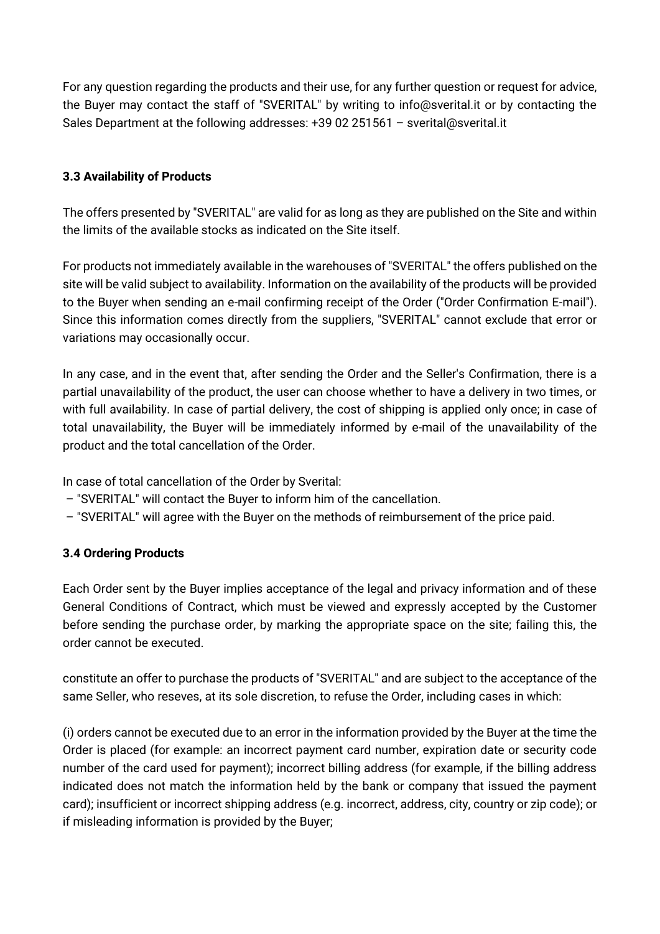For any question regarding the products and their use, for any further question or request for advice, the Buyer may contact the staff of "SVERITAL" by writing to info@sverital.it or by contacting the Sales Department at the following addresses: +39 02 251561 – [sverital@sverital.it](mailto:sverital@sverital.it)

# **3.3 Availability of Products**

The offers presented by "SVERITAL" are valid for as long as they are published on the Site and within the limits of the available stocks as indicated on the Site itself.

For products not immediately available in the warehouses of "SVERITAL" the offers published on the site will be valid subject to availability. Information on the availability of the products will be provided to the Buyer when sending an e-mail confirming receipt of the Order ("Order Confirmation E-mail"). Since this information comes directly from the suppliers, "SVERITAL" cannot exclude that error or variations may occasionally occur.

In any case, and in the event that, after sending the Order and the Seller's Confirmation, there is a partial unavailability of the product, the user can choose whether to have a delivery in two times, or with full availability. In case of partial delivery, the cost of shipping is applied only once; in case of total unavailability, the Buyer will be immediately informed by e-mail of the unavailability of the product and the total cancellation of the Order.

In case of total cancellation of the Order by Sverital:

- "SVERITAL" will contact the Buyer to inform him of the cancellation.
- "SVERITAL" will agree with the Buyer on the methods of reimbursement of the price paid.

# **3.4 Ordering Products**

Each Order sent by the Buyer implies acceptance of the legal and privacy information and of these General Conditions of Contract, which must be viewed and expressly accepted by the Customer before sending the purchase order, by marking the appropriate space on the site; failing this, the order cannot be executed.

constitute an offer to purchase the products of "SVERITAL" and are subject to the acceptance of the same Seller, who reseves, at its sole discretion, to refuse the Order, including cases in which:

(i) orders cannot be executed due to an error in the information provided by the Buyer at the time the Order is placed (for example: an incorrect payment card number, expiration date or security code number of the card used for payment); incorrect billing address (for example, if the billing address indicated does not match the information held by the bank or company that issued the payment card); insufficient or incorrect shipping address (e.g. incorrect, address, city, country or zip code); or if misleading information is provided by the Buyer;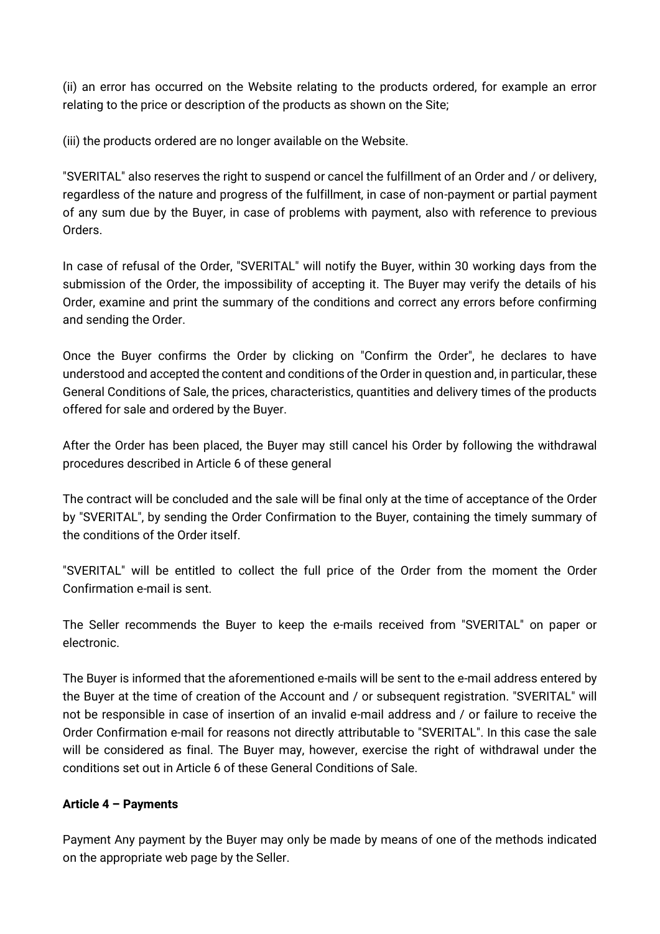(ii) an error has occurred on the Website relating to the products ordered, for example an error relating to the price or description of the products as shown on the Site;

(iii) the products ordered are no longer available on the Website.

"SVERITAL" also reserves the right to suspend or cancel the fulfillment of an Order and / or delivery, regardless of the nature and progress of the fulfillment, in case of non-payment or partial payment of any sum due by the Buyer, in case of problems with payment, also with reference to previous Orders.

In case of refusal of the Order, "SVERITAL" will notify the Buyer, within 30 working days from the submission of the Order, the impossibility of accepting it. The Buyer may verify the details of his Order, examine and print the summary of the conditions and correct any errors before confirming and sending the Order.

Once the Buyer confirms the Order by clicking on "Confirm the Order", he declares to have understood and accepted the content and conditions of the Order in question and, in particular, these General Conditions of Sale, the prices, characteristics, quantities and delivery times of the products offered for sale and ordered by the Buyer.

After the Order has been placed, the Buyer may still cancel his Order by following the withdrawal procedures described in Article 6 of these general

The contract will be concluded and the sale will be final only at the time of acceptance of the Order by "SVERITAL", by sending the Order Confirmation to the Buyer, containing the timely summary of the conditions of the Order itself.

"SVERITAL" will be entitled to collect the full price of the Order from the moment the Order Confirmation e-mail is sent.

The Seller recommends the Buyer to keep the e-mails received from "SVERITAL" on paper or electronic.

The Buyer is informed that the aforementioned e-mails will be sent to the e-mail address entered by the Buyer at the time of creation of the Account and / or subsequent registration. "SVERITAL" will not be responsible in case of insertion of an invalid e-mail address and / or failure to receive the Order Confirmation e-mail for reasons not directly attributable to "SVERITAL". In this case the sale will be considered as final. The Buyer may, however, exercise the right of withdrawal under the conditions set out in Article 6 of these General Conditions of Sale.

### **Article 4 – Payments**

Payment Any payment by the Buyer may only be made by means of one of the methods indicated on the appropriate web page by the Seller.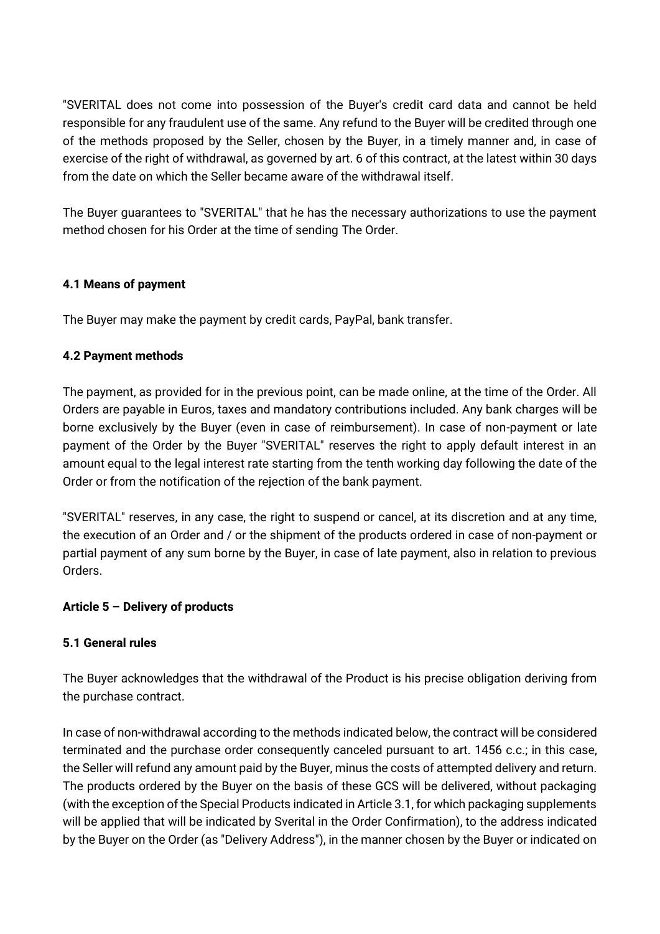"SVERITAL does not come into possession of the Buyer's credit card data and cannot be held responsible for any fraudulent use of the same. Any refund to the Buyer will be credited through one of the methods proposed by the Seller, chosen by the Buyer, in a timely manner and, in case of exercise of the right of withdrawal, as governed by art. 6 of this contract, at the latest within 30 days from the date on which the Seller became aware of the withdrawal itself.

The Buyer guarantees to "SVERITAL" that he has the necessary authorizations to use the payment method chosen for his Order at the time of sending The Order.

# **4.1 Means of payment**

The Buyer may make the payment by credit cards, PayPal, bank transfer.

# **4.2 Payment methods**

The payment, as provided for in the previous point, can be made online, at the time of the Order. All Orders are payable in Euros, taxes and mandatory contributions included. Any bank charges will be borne exclusively by the Buyer (even in case of reimbursement). In case of non-payment or late payment of the Order by the Buyer "SVERITAL" reserves the right to apply default interest in an amount equal to the legal interest rate starting from the tenth working day following the date of the Order or from the notification of the rejection of the bank payment.

"SVERITAL" reserves, in any case, the right to suspend or cancel, at its discretion and at any time, the execution of an Order and / or the shipment of the products ordered in case of non-payment or partial payment of any sum borne by the Buyer, in case of late payment, also in relation to previous Orders.

### **Article 5 – Delivery of products**

### **5.1 General rules**

The Buyer acknowledges that the withdrawal of the Product is his precise obligation deriving from the purchase contract.

In case of non-withdrawal according to the methods indicated below, the contract will be considered terminated and the purchase order consequently canceled pursuant to art. 1456 c.c.; in this case, the Seller will refund any amount paid by the Buyer, minus the costs of attempted delivery and return. The products ordered by the Buyer on the basis of these GCS will be delivered, without packaging (with the exception of the Special Products indicated in Article 3.1, for which packaging supplements will be applied that will be indicated by Sverital in the Order Confirmation), to the address indicated by the Buyer on the Order (as "Delivery Address"), in the manner chosen by the Buyer or indicated on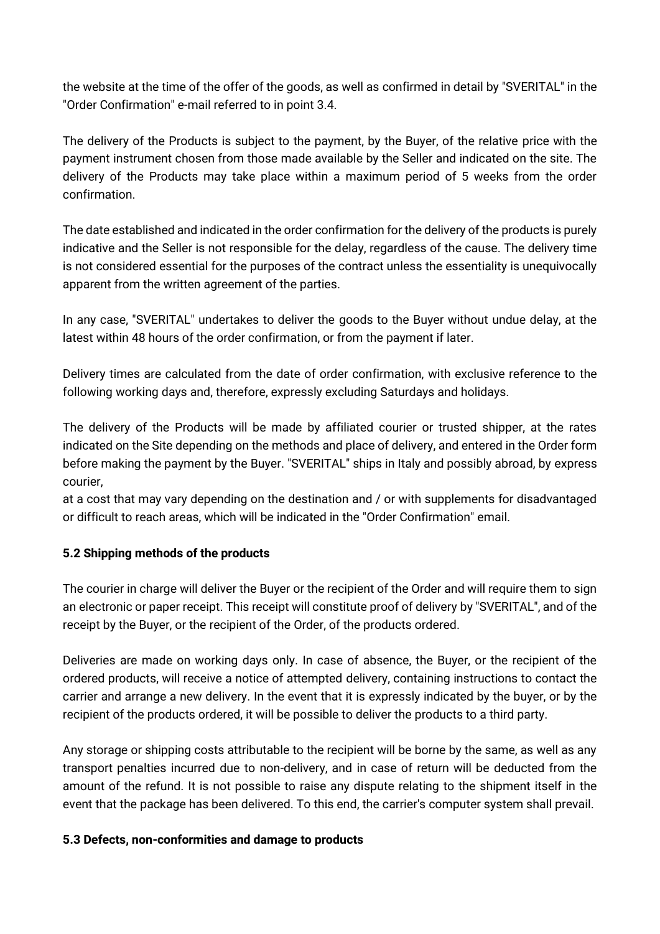the website at the time of the offer of the goods, as well as confirmed in detail by "SVERITAL" in the "Order Confirmation" e-mail referred to in point 3.4.

The delivery of the Products is subject to the payment, by the Buyer, of the relative price with the payment instrument chosen from those made available by the Seller and indicated on the site. The delivery of the Products may take place within a maximum period of 5 weeks from the order confirmation.

The date established and indicated in the order confirmation for the delivery of the products is purely indicative and the Seller is not responsible for the delay, regardless of the cause. The delivery time is not considered essential for the purposes of the contract unless the essentiality is unequivocally apparent from the written agreement of the parties.

In any case, "SVERITAL" undertakes to deliver the goods to the Buyer without undue delay, at the latest within 48 hours of the order confirmation, or from the payment if later.

Delivery times are calculated from the date of order confirmation, with exclusive reference to the following working days and, therefore, expressly excluding Saturdays and holidays.

The delivery of the Products will be made by affiliated courier or trusted shipper, at the rates indicated on the Site depending on the methods and place of delivery, and entered in the Order form before making the payment by the Buyer. "SVERITAL" ships in Italy and possibly abroad, by express courier,

at a cost that may vary depending on the destination and / or with supplements for disadvantaged or difficult to reach areas, which will be indicated in the "Order Confirmation" email.

# **5.2 Shipping methods of the products**

The courier in charge will deliver the Buyer or the recipient of the Order and will require them to sign an electronic or paper receipt. This receipt will constitute proof of delivery by "SVERITAL", and of the receipt by the Buyer, or the recipient of the Order, of the products ordered.

Deliveries are made on working days only. In case of absence, the Buyer, or the recipient of the ordered products, will receive a notice of attempted delivery, containing instructions to contact the carrier and arrange a new delivery. In the event that it is expressly indicated by the buyer, or by the recipient of the products ordered, it will be possible to deliver the products to a third party.

Any storage or shipping costs attributable to the recipient will be borne by the same, as well as any transport penalties incurred due to non-delivery, and in case of return will be deducted from the amount of the refund. It is not possible to raise any dispute relating to the shipment itself in the event that the package has been delivered. To this end, the carrier's computer system shall prevail.

### **5.3 Defects, non-conformities and damage to products**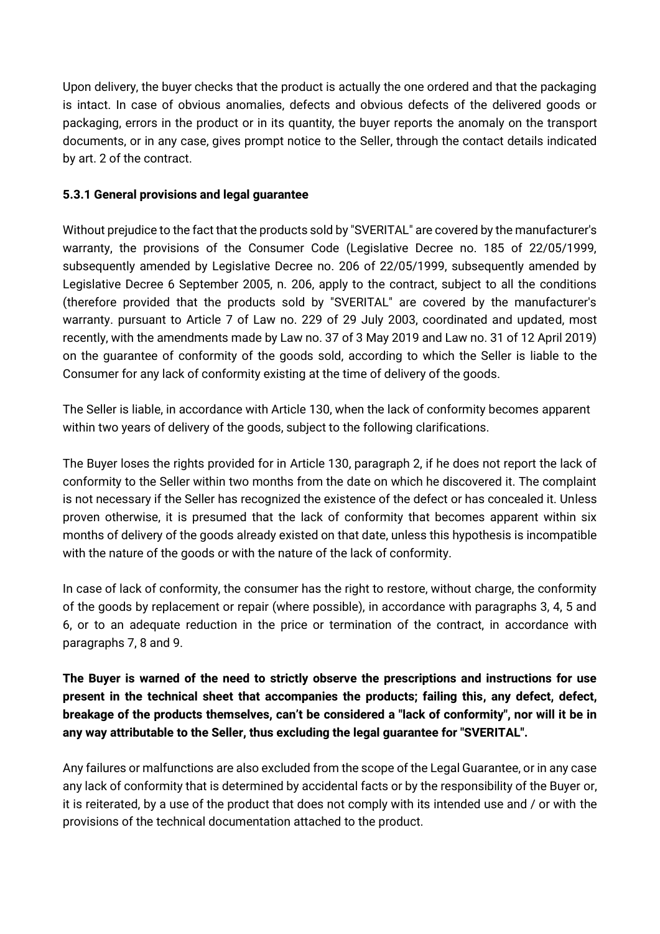Upon delivery, the buyer checks that the product is actually the one ordered and that the packaging is intact. In case of obvious anomalies, defects and obvious defects of the delivered goods or packaging, errors in the product or in its quantity, the buyer reports the anomaly on the transport documents, or in any case, gives prompt notice to the Seller, through the contact details indicated by art. 2 of the contract.

# **5.3.1 General provisions and legal guarantee**

Without prejudice to the fact that the products sold by "SVERITAL" are covered by the manufacturer's warranty, the provisions of the Consumer Code (Legislative Decree no. 185 of 22/05/1999, subsequently amended by Legislative Decree no. 206 of 22/05/1999, subsequently amended by Legislative Decree 6 September 2005, n. 206, apply to the contract, subject to all the conditions (therefore provided that the products sold by "SVERITAL" are covered by the manufacturer's warranty. pursuant to Article 7 of Law no. 229 of 29 July 2003, coordinated and updated, most recently, with the amendments made by Law no. 37 of 3 May 2019 and Law no. 31 of 12 April 2019) on the guarantee of conformity of the goods sold, according to which the Seller is liable to the Consumer for any lack of conformity existing at the time of delivery of the goods.

The Seller is liable, in accordance with Article 130, when the lack of conformity becomes apparent within two years of delivery of the goods, subject to the following clarifications.

The Buyer loses the rights provided for in Article 130, paragraph 2, if he does not report the lack of conformity to the Seller within two months from the date on which he discovered it. The complaint is not necessary if the Seller has recognized the existence of the defect or has concealed it. Unless proven otherwise, it is presumed that the lack of conformity that becomes apparent within six months of delivery of the goods already existed on that date, unless this hypothesis is incompatible with the nature of the goods or with the nature of the lack of conformity.

In case of lack of conformity, the consumer has the right to restore, without charge, the conformity of the goods by replacement or repair (where possible), in accordance with paragraphs 3, 4, 5 and 6, or to an adequate reduction in the price or termination of the contract, in accordance with paragraphs 7, 8 and 9.

**The Buyer is warned of the need to strictly observe the prescriptions and instructions for use present in the technical sheet that accompanies the products; failing this, any defect, defect, breakage of the products themselves, can't be considered a "lack of conformity", nor will it be in any way attributable to the Seller, thus excluding the legal guarantee for "SVERITAL".**

Any failures or malfunctions are also excluded from the scope of the Legal Guarantee, or in any case any lack of conformity that is determined by accidental facts or by the responsibility of the Buyer or, it is reiterated, by a use of the product that does not comply with its intended use and / or with the provisions of the technical documentation attached to the product.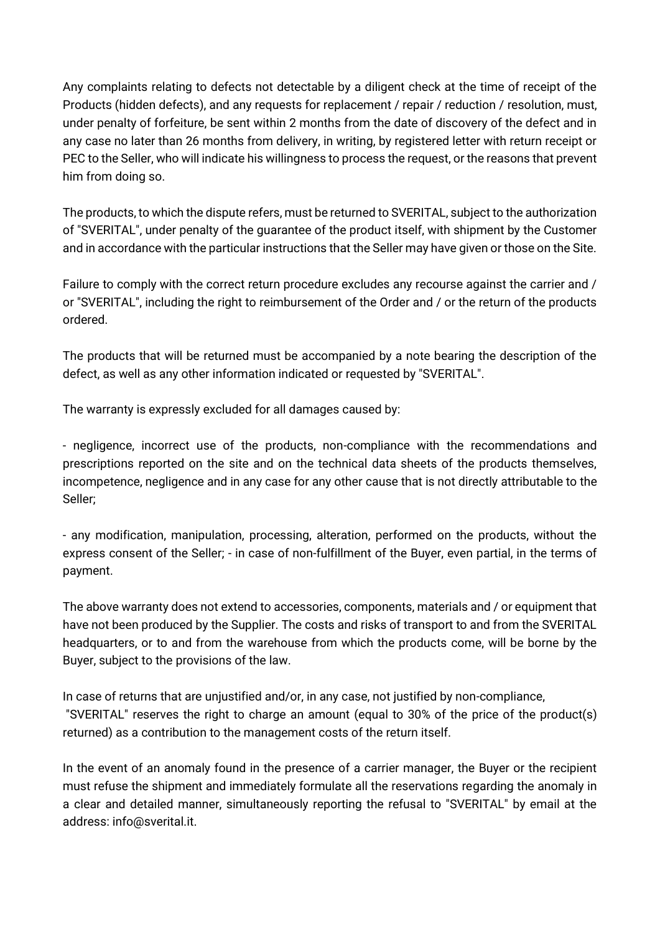Any complaints relating to defects not detectable by a diligent check at the time of receipt of the Products (hidden defects), and any requests for replacement / repair / reduction / resolution, must, under penalty of forfeiture, be sent within 2 months from the date of discovery of the defect and in any case no later than 26 months from delivery, in writing, by registered letter with return receipt or PEC to the Seller, who will indicate his willingness to process the request, or the reasons that prevent him from doing so.

The products, to which the dispute refers, must be returned to SVERITAL, subject to the authorization of "SVERITAL", under penalty of the guarantee of the product itself, with shipment by the Customer and in accordance with the particular instructions that the Seller may have given or those on the Site.

Failure to comply with the correct return procedure excludes any recourse against the carrier and / or "SVERITAL", including the right to reimbursement of the Order and / or the return of the products ordered.

The products that will be returned must be accompanied by a note bearing the description of the defect, as well as any other information indicated or requested by "SVERITAL".

The warranty is expressly excluded for all damages caused by:

- negligence, incorrect use of the products, non-compliance with the recommendations and prescriptions reported on the site and on the technical data sheets of the products themselves, incompetence, negligence and in any case for any other cause that is not directly attributable to the Seller;

- any modification, manipulation, processing, alteration, performed on the products, without the express consent of the Seller; - in case of non-fulfillment of the Buyer, even partial, in the terms of payment.

The above warranty does not extend to accessories, components, materials and / or equipment that have not been produced by the Supplier. The costs and risks of transport to and from the SVERITAL headquarters, or to and from the warehouse from which the products come, will be borne by the Buyer, subject to the provisions of the law.

In case of returns that are unjustified and/or, in any case, not justified by non-compliance, "SVERITAL" reserves the right to charge an amount (equal to 30% of the price of the product(s) returned) as a contribution to the management costs of the return itself.

In the event of an anomaly found in the presence of a carrier manager, the Buyer or the recipient must refuse the shipment and immediately formulate all the reservations regarding the anomaly in a clear and detailed manner, simultaneously reporting the refusal to "SVERITAL" by email at the address: [info@sverital.it.](mailto:info@sverital.it)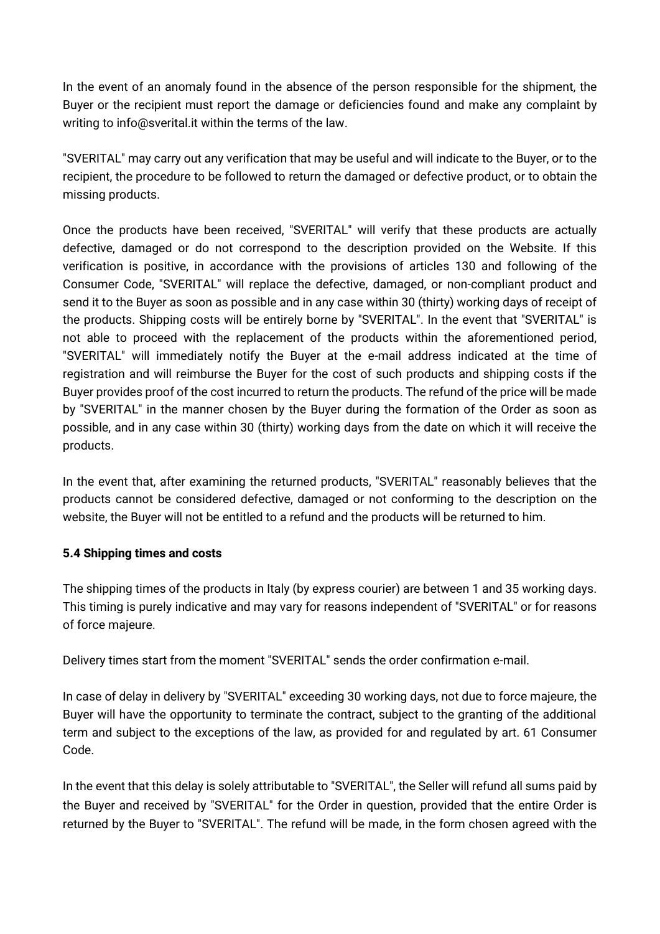In the event of an anomaly found in the absence of the person responsible for the shipment, the Buyer or the recipient must report the damage or deficiencies found and make any complaint by writing to [info@sverital.it](mailto:info@sverital.it) within the terms of the law.

"SVERITAL" may carry out any verification that may be useful and will indicate to the Buyer, or to the recipient, the procedure to be followed to return the damaged or defective product, or to obtain the missing products.

Once the products have been received, "SVERITAL" will verify that these products are actually defective, damaged or do not correspond to the description provided on the Website. If this verification is positive, in accordance with the provisions of articles 130 and following of the Consumer Code, "SVERITAL" will replace the defective, damaged, or non-compliant product and send it to the Buyer as soon as possible and in any case within 30 (thirty) working days of receipt of the products. Shipping costs will be entirely borne by "SVERITAL". In the event that "SVERITAL" is not able to proceed with the replacement of the products within the aforementioned period, "SVERITAL" will immediately notify the Buyer at the e-mail address indicated at the time of registration and will reimburse the Buyer for the cost of such products and shipping costs if the Buyer provides proof of the cost incurred to return the products. The refund of the price will be made by "SVERITAL" in the manner chosen by the Buyer during the formation of the Order as soon as possible, and in any case within 30 (thirty) working days from the date on which it will receive the products.

In the event that, after examining the returned products, "SVERITAL" reasonably believes that the products cannot be considered defective, damaged or not conforming to the description on the website, the Buyer will not be entitled to a refund and the products will be returned to him.

### **5.4 Shipping times and costs**

The shipping times of the products in Italy (by express courier) are between 1 and 35 working days. This timing is purely indicative and may vary for reasons independent of "SVERITAL" or for reasons of force majeure.

Delivery times start from the moment "SVERITAL" sends the order confirmation e-mail.

In case of delay in delivery by "SVERITAL" exceeding 30 working days, not due to force majeure, the Buyer will have the opportunity to terminate the contract, subject to the granting of the additional term and subject to the exceptions of the law, as provided for and regulated by art. 61 Consumer Code.

In the event that this delay is solely attributable to "SVERITAL", the Seller will refund all sums paid by the Buyer and received by "SVERITAL" for the Order in question, provided that the entire Order is returned by the Buyer to "SVERITAL". The refund will be made, in the form chosen agreed with the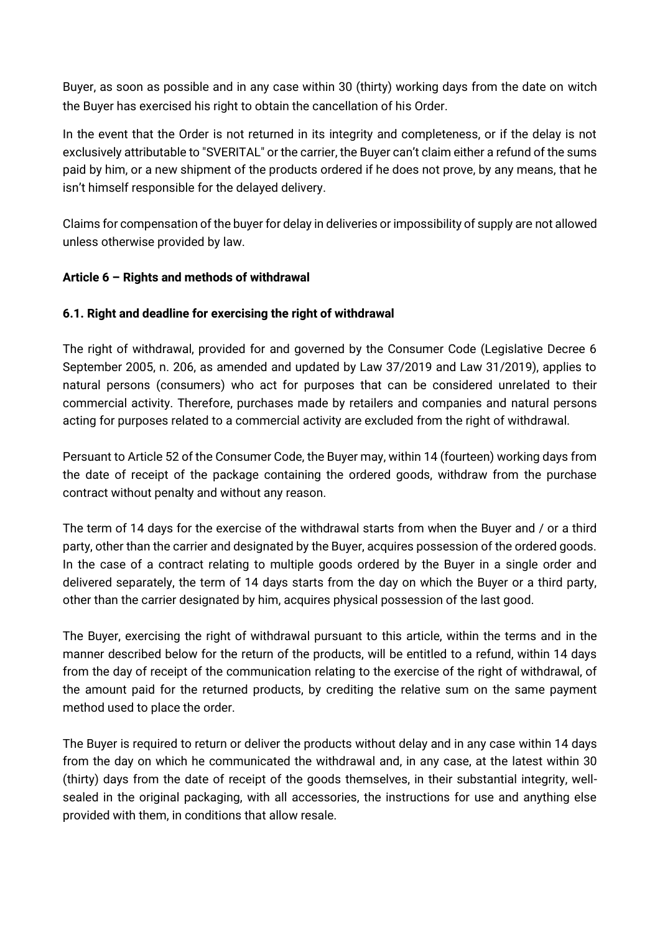Buyer, as soon as possible and in any case within 30 (thirty) working days from the date on witch the Buyer has exercised his right to obtain the cancellation of his Order.

In the event that the Order is not returned in its integrity and completeness, or if the delay is not exclusively attributable to "SVERITAL" or the carrier, the Buyer can't claim either a refund of the sums paid by him, or a new shipment of the products ordered if he does not prove, by any means, that he isn't himself responsible for the delayed delivery.

Claims for compensation of the buyer for delay in deliveries or impossibility of supply are not allowed unless otherwise provided by law.

# **Article 6 – Rights and methods of withdrawal**

# **6.1. Right and deadline for exercising the right of withdrawal**

The right of withdrawal, provided for and governed by the Consumer Code (Legislative Decree 6 September 2005, n. 206, as amended and updated by Law 37/2019 and Law 31/2019), applies to natural persons (consumers) who act for purposes that can be considered unrelated to their commercial activity. Therefore, purchases made by retailers and companies and natural persons acting for purposes related to a commercial activity are excluded from the right of withdrawal.

Persuant to Article 52 of the Consumer Code, the Buyer may, within 14 (fourteen) working days from the date of receipt of the package containing the ordered goods, withdraw from the purchase contract without penalty and without any reason.

The term of 14 days for the exercise of the withdrawal starts from when the Buyer and / or a third party, other than the carrier and designated by the Buyer, acquires possession of the ordered goods. In the case of a contract relating to multiple goods ordered by the Buyer in a single order and delivered separately, the term of 14 days starts from the day on which the Buyer or a third party, other than the carrier designated by him, acquires physical possession of the last good.

The Buyer, exercising the right of withdrawal pursuant to this article, within the terms and in the manner described below for the return of the products, will be entitled to a refund, within 14 days from the day of receipt of the communication relating to the exercise of the right of withdrawal, of the amount paid for the returned products, by crediting the relative sum on the same payment method used to place the order.

The Buyer is required to return or deliver the products without delay and in any case within 14 days from the day on which he communicated the withdrawal and, in any case, at the latest within 30 (thirty) days from the date of receipt of the goods themselves, in their substantial integrity, wellsealed in the original packaging, with all accessories, the instructions for use and anything else provided with them, in conditions that allow resale.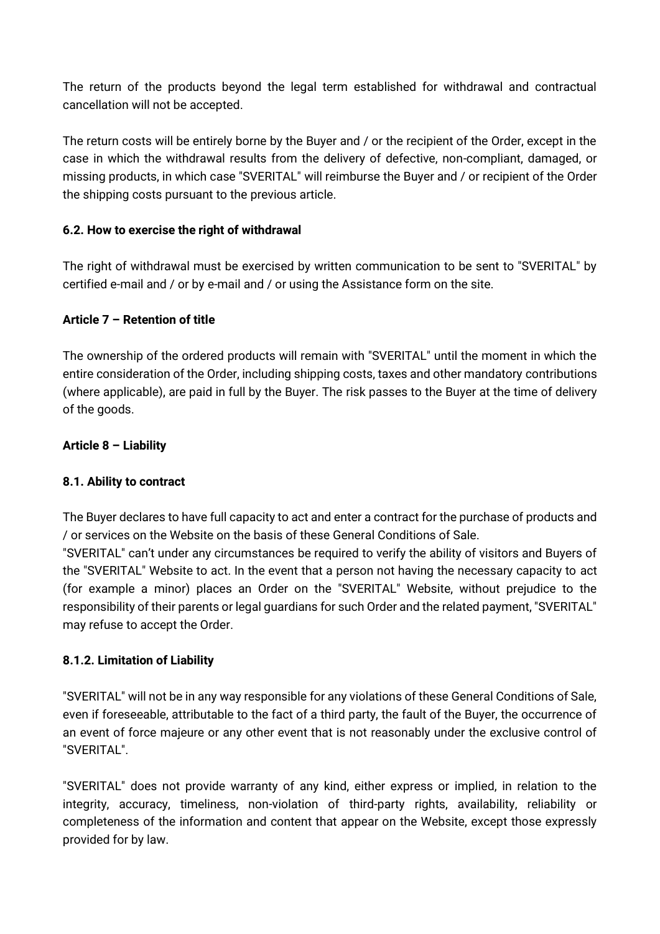The return of the products beyond the legal term established for withdrawal and contractual cancellation will not be accepted.

The return costs will be entirely borne by the Buyer and / or the recipient of the Order, except in the case in which the withdrawal results from the delivery of defective, non-compliant, damaged, or missing products, in which case "SVERITAL" will reimburse the Buyer and / or recipient of the Order the shipping costs pursuant to the previous article.

# **6.2. How to exercise the right of withdrawal**

The right of withdrawal must be exercised by written communication to be sent to "SVERITAL" by certified e-mail and / or by e-mail and / or using the Assistance form on the site.

# **Article 7 – Retention of title**

The ownership of the ordered products will remain with "SVERITAL" until the moment in which the entire consideration of the Order, including shipping costs, taxes and other mandatory contributions (where applicable), are paid in full by the Buyer. The risk passes to the Buyer at the time of delivery of the goods.

### **Article 8 – Liability**

### **8.1. Ability to contract**

The Buyer declares to have full capacity to act and enter a contract for the purchase of products and / or services on the Website on the basis of these General Conditions of Sale.

"SVERITAL" can't under any circumstances be required to verify the ability of visitors and Buyers of the "SVERITAL" Website to act. In the event that a person not having the necessary capacity to act (for example a minor) places an Order on the "SVERITAL" Website, without prejudice to the responsibility of their parents or legal guardians for such Order and the related payment, "SVERITAL" may refuse to accept the Order.

### **8.1.2. Limitation of Liability**

"SVERITAL" will not be in any way responsible for any violations of these General Conditions of Sale, even if foreseeable, attributable to the fact of a third party, the fault of the Buyer, the occurrence of an event of force majeure or any other event that is not reasonably under the exclusive control of "SVERITAL".

"SVERITAL" does not provide warranty of any kind, either express or implied, in relation to the integrity, accuracy, timeliness, non-violation of third-party rights, availability, reliability or completeness of the information and content that appear on the Website, except those expressly provided for by law.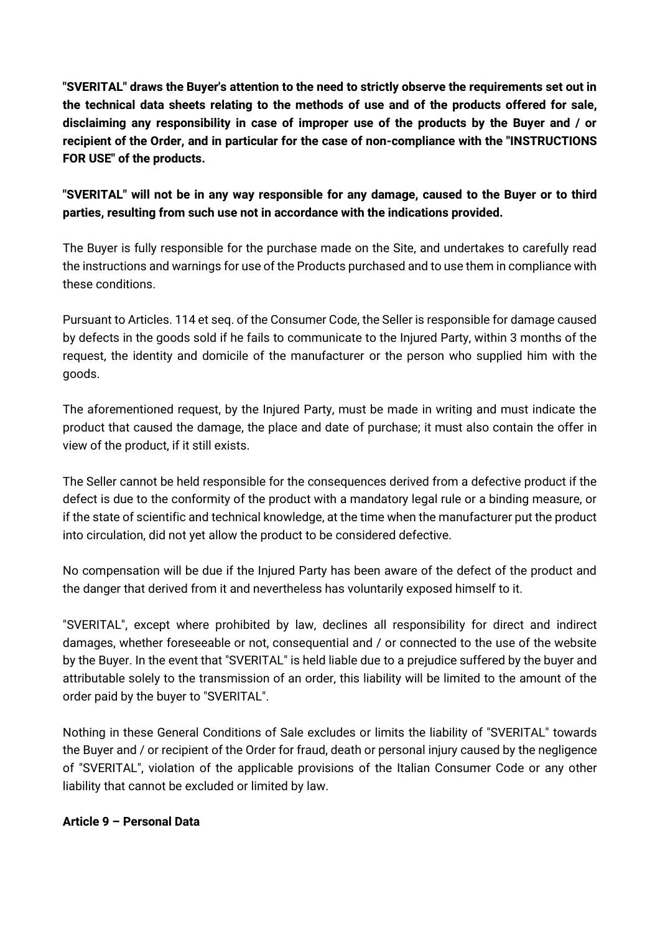**"SVERITAL" draws the Buyer's attention to the need to strictly observe the requirements set out in the technical data sheets relating to the methods of use and of the products offered for sale, disclaiming any responsibility in case of improper use of the products by the Buyer and / or recipient of the Order, and in particular for the case of non-compliance with the "INSTRUCTIONS FOR USE" of the products.**

# **"SVERITAL" will not be in any way responsible for any damage, caused to the Buyer or to third parties, resulting from such use not in accordance with the indications provided.**

The Buyer is fully responsible for the purchase made on the Site, and undertakes to carefully read the instructions and warnings for use of the Products purchased and to use them in compliance with these conditions.

Pursuant to Articles. 114 et seq. of the Consumer Code, the Seller is responsible for damage caused by defects in the goods sold if he fails to communicate to the Injured Party, within 3 months of the request, the identity and domicile of the manufacturer or the person who supplied him with the goods.

The aforementioned request, by the Injured Party, must be made in writing and must indicate the product that caused the damage, the place and date of purchase; it must also contain the offer in view of the product, if it still exists.

The Seller cannot be held responsible for the consequences derived from a defective product if the defect is due to the conformity of the product with a mandatory legal rule or a binding measure, or if the state of scientific and technical knowledge, at the time when the manufacturer put the product into circulation, did not yet allow the product to be considered defective.

No compensation will be due if the Injured Party has been aware of the defect of the product and the danger that derived from it and nevertheless has voluntarily exposed himself to it.

"SVERITAL", except where prohibited by law, declines all responsibility for direct and indirect damages, whether foreseeable or not, consequential and / or connected to the use of the website by the Buyer. In the event that "SVERITAL" is held liable due to a prejudice suffered by the buyer and attributable solely to the transmission of an order, this liability will be limited to the amount of the order paid by the buyer to "SVERITAL".

Nothing in these General Conditions of Sale excludes or limits the liability of "SVERITAL" towards the Buyer and / or recipient of the Order for fraud, death or personal injury caused by the negligence of "SVERITAL", violation of the applicable provisions of the Italian Consumer Code or any other liability that cannot be excluded or limited by law.

### **Article 9 – Personal Data**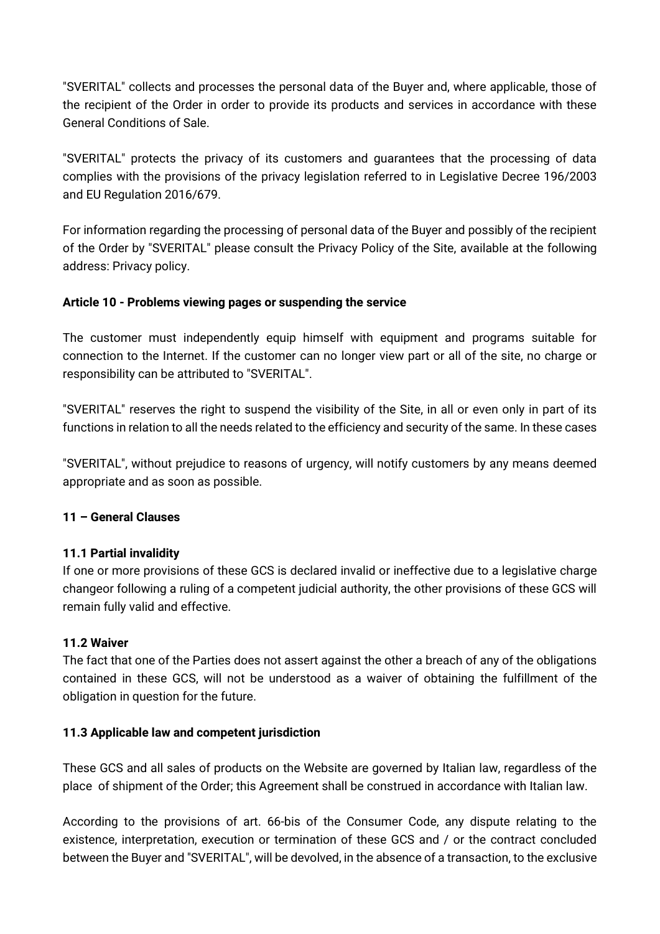"SVERITAL" collects and processes the personal data of the Buyer and, where applicable, those of the recipient of the Order in order to provide its products and services in accordance with these General Conditions of Sale.

"SVERITAL" protects the privacy of its customers and guarantees that the processing of data complies with the provisions of the privacy legislation referred to in Legislative Decree 196/2003 and EU Regulation 2016/679.

For information regarding the processing of personal data of the Buyer and possibly of the recipient of the Order by "SVERITAL" please consult the Privacy Policy of the Site, available at the following address: Privacy policy.

# **Article 10 - Problems viewing pages or suspending the service**

The customer must independently equip himself with equipment and programs suitable for connection to the Internet. If the customer can no longer view part or all of the site, no charge or responsibility can be attributed to "SVERITAL".

"SVERITAL" reserves the right to suspend the visibility of the Site, in all or even only in part of its functions in relation to all the needs related to the efficiency and security of the same. In these cases

"SVERITAL", without prejudice to reasons of urgency, will notify customers by any means deemed appropriate and as soon as possible.

### **11 – General Clauses**

### **11.1 Partial invalidity**

If one or more provisions of these GCS is declared invalid or ineffective due to a legislative charge changeor following a ruling of a competent judicial authority, the other provisions of these GCS will remain fully valid and effective.

### **11.2 Waiver**

The fact that one of the Parties does not assert against the other a breach of any of the obligations contained in these GCS, will not be understood as a waiver of obtaining the fulfillment of the obligation in question for the future.

### **11.3 Applicable law and competent jurisdiction**

These GCS and all sales of products on the Website are governed by Italian law, regardless of the place of shipment of the Order; this Agreement shall be construed in accordance with Italian law.

According to the provisions of art. 66-bis of the Consumer Code, any dispute relating to the existence, interpretation, execution or termination of these GCS and / or the contract concluded between the Buyer and "SVERITAL", will be devolved, in the absence of a transaction, to the exclusive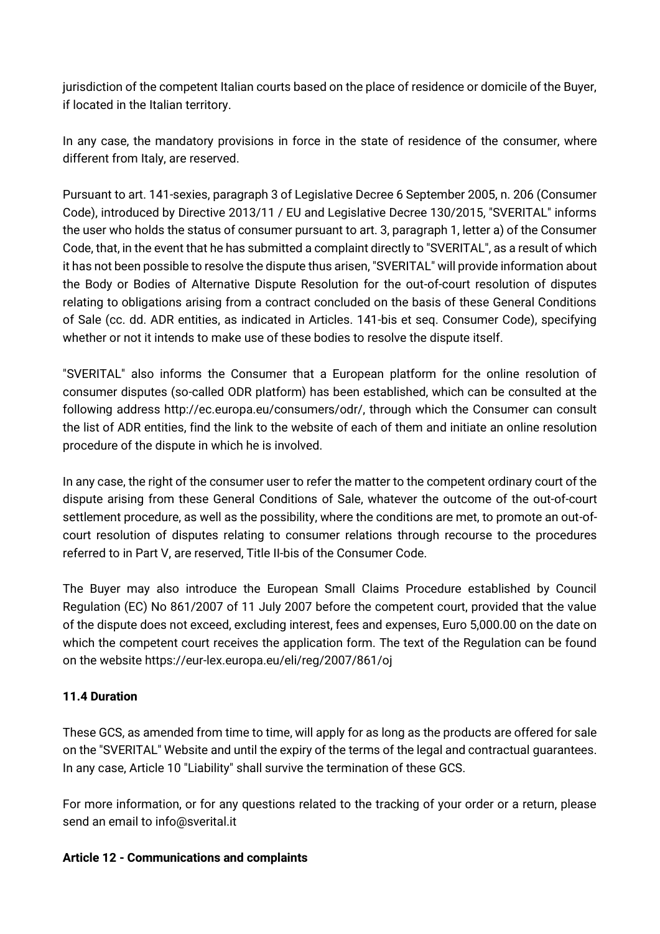jurisdiction of the competent Italian courts based on the place of residence or domicile of the Buyer, if located in the Italian territory.

In any case, the mandatory provisions in force in the state of residence of the consumer, where different from Italy, are reserved.

Pursuant to art. 141-sexies, paragraph 3 of Legislative Decree 6 September 2005, n. 206 (Consumer Code), introduced by Directive 2013/11 / EU and Legislative Decree 130/2015, "SVERITAL" informs the user who holds the status of consumer pursuant to art. 3, paragraph 1, letter a) of the Consumer Code, that, in the event that he has submitted a complaint directly to "SVERITAL", as a result of which it has not been possible to resolve the dispute thus arisen, "SVERITAL" will provide information about the Body or Bodies of Alternative Dispute Resolution for the out-of-court resolution of disputes relating to obligations arising from a contract concluded on the basis of these General Conditions of Sale (cc. dd. ADR entities, as indicated in Articles. 141-bis et seq. Consumer Code), specifying whether or not it intends to make use of these bodies to resolve the dispute itself.

"SVERITAL" also informs the Consumer that a European platform for the online resolution of consumer disputes (so-called ODR platform) has been established, which can be consulted at the following address http://ec.europa.eu/consumers/odr/, through which the Consumer can consult the list of ADR entities, find the link to the website of each of them and initiate an online resolution procedure of the dispute in which he is involved.

In any case, the right of the consumer user to refer the matter to the competent ordinary court of the dispute arising from these General Conditions of Sale, whatever the outcome of the out-of-court settlement procedure, as well as the possibility, where the conditions are met, to promote an out-ofcourt resolution of disputes relating to consumer relations through recourse to the procedures referred to in Part V, are reserved, Title II-bis of the Consumer Code.

The Buyer may also introduce the European Small Claims Procedure established by Council Regulation (EC) No 861/2007 of 11 July 2007 before the competent court, provided that the value of the dispute does not exceed, excluding interest, fees and expenses, Euro 5,000.00 on the date on which the competent court receives the application form. The text of the Regulation can be found on the website<https://eur-lex.europa.eu/eli/reg/2007/861/oj>

# **11.4 Duration**

These GCS, as amended from time to time, will apply for as long as the products are offered for sale on the "SVERITAL" Website and until the expiry of the terms of the legal and contractual guarantees. In any case, Article 10 "Liability" shall survive the termination of these GCS.

For more information, or for any questions related to the tracking of your order or a return, please send an email to info@sverital.it

### **Article 12 - Communications and complaints**